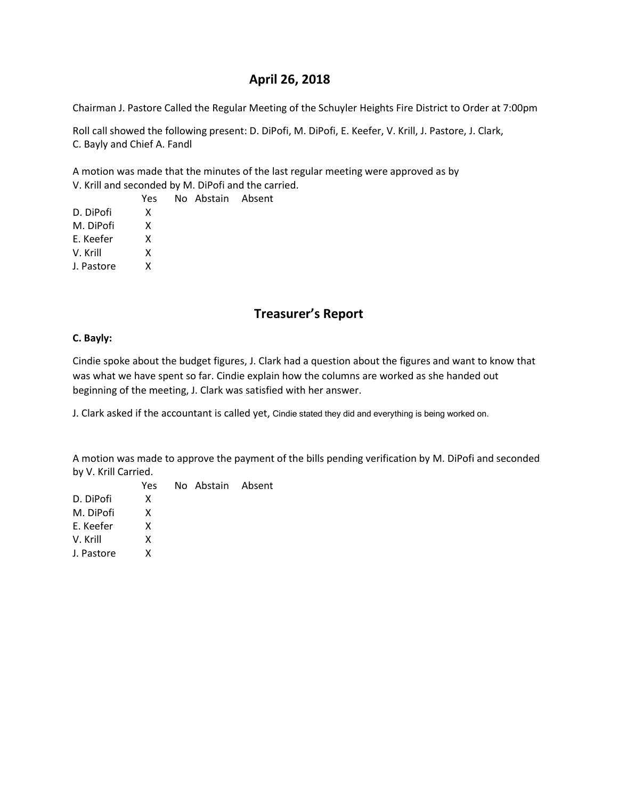# **April 26, 2018**

Chairman J. Pastore Called the Regular Meeting of the Schuyler Heights Fire District to Order at 7:00pm

Roll call showed the following present: D. DiPofi, M. DiPofi, E. Keefer, V. Krill, J. Pastore, J. Clark, C. Bayly and Chief A. Fandl

A motion was made that the minutes of the last regular meeting were approved as by V. Krill and seconded by M. DiPofi and the carried.

 Yes No Abstain Absent D. DiPofi X M. DiPofi X E. Keefer X V. Krill X J. Pastore X

# **Treasurer's Report**

### **C. Bayly:**

Cindie spoke about the budget figures, J. Clark had a question about the figures and want to know that was what we have spent so far. Cindie explain how the columns are worked as she handed out beginning of the meeting, J. Clark was satisfied with her answer.

J. Clark asked if the accountant is called yet, Cindie stated they did and everything is being worked on.

A motion was made to approve the payment of the bills pending verification by M. DiPofi and seconded by V. Krill Carried.

|            | Yes | No Abstain Absent |  |
|------------|-----|-------------------|--|
| D. DiPofi  | x   |                   |  |
| M. DiPofi  | x   |                   |  |
| E. Keefer  | x   |                   |  |
| V. Krill   | x   |                   |  |
| J. Pastore | x   |                   |  |
|            |     |                   |  |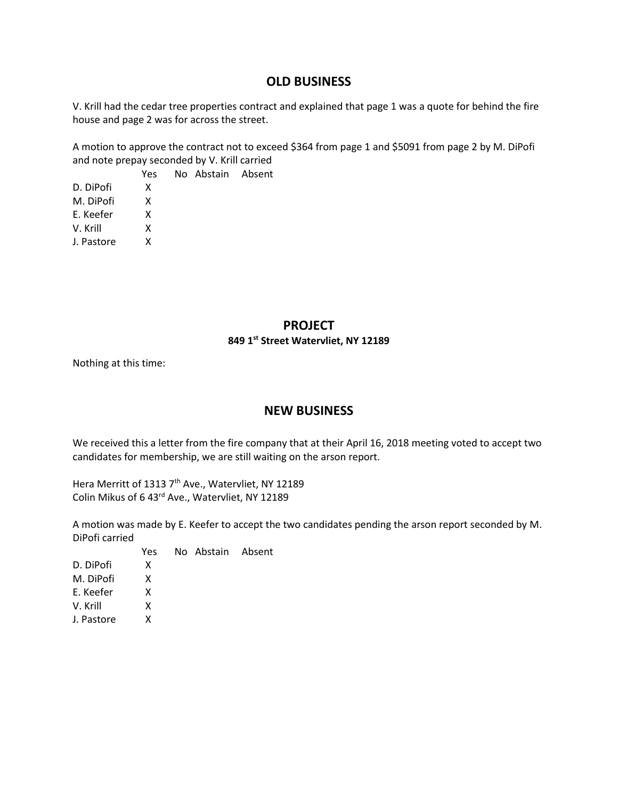## **OLD BUSINESS**

V. Krill had the cedar tree properties contract and explained that page 1 was a quote for behind the fire house and page 2 was for across the street.

A motion to approve the contract not to exceed \$364 from page 1 and \$5091 from page 2 by M. DiPofi and note prepay seconded by V. Krill carried

 Yes No Abstain Absent D. DiPofi X M. DiPofi X E. Keefer X V. Krill X J. Pastore X

## **PROJECT**

#### **849 1st Street Watervliet, NY 12189**

Nothing at this time:

## **NEW BUSINESS**

We received this a letter from the fire company that at their April 16, 2018 meeting voted to accept two candidates for membership, we are still waiting on the arson report.

Hera Merritt of 1313 7<sup>th</sup> Ave., Watervliet, NY 12189 Colin Mikus of 6 43rd Ave., Watervliet, NY 12189

A motion was made by E. Keefer to accept the two candidates pending the arson report seconded by M. DiPofi carried

|            | Yes | No Abstain Absent |  |
|------------|-----|-------------------|--|
| D. DiPofi  | x   |                   |  |
| M. DiPofi  | x   |                   |  |
| E. Keefer  | x   |                   |  |
| V. Krill   | x   |                   |  |
| J. Pastore | x   |                   |  |
|            |     |                   |  |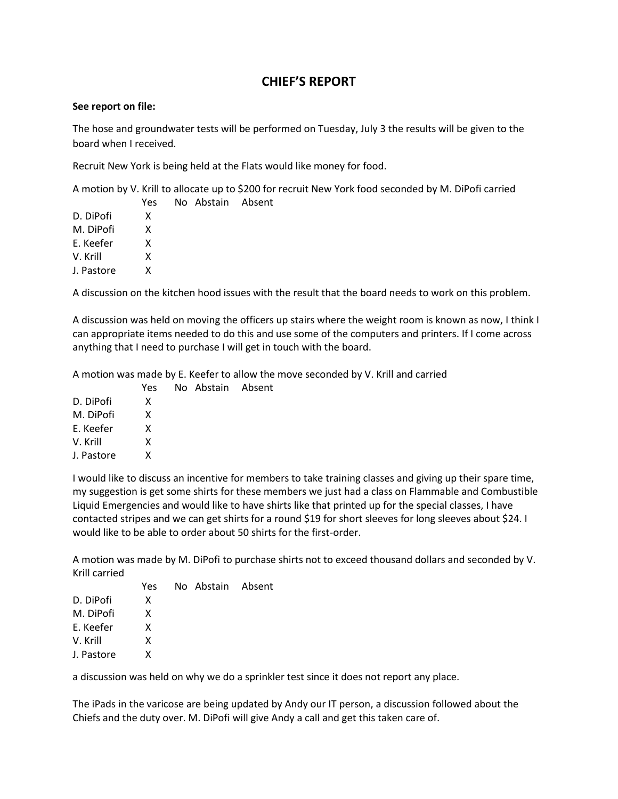# **CHIEF'S REPORT**

### **See report on file:**

The hose and groundwater tests will be performed on Tuesday, July 3 the results will be given to the board when I received.

Recruit New York is being held at the Flats would like money for food.

A motion by V. Krill to allocate up to \$200 for recruit New York food seconded by M. DiPofi carried

|            | Yes | No Abstain Absent |  |
|------------|-----|-------------------|--|
| D. DiPofi  | x   |                   |  |
| M. DiPofi  | x   |                   |  |
| E. Keefer  | x   |                   |  |
| V. Krill   | x   |                   |  |
| J. Pastore | x   |                   |  |
|            |     |                   |  |

A discussion on the kitchen hood issues with the result that the board needs to work on this problem.

A discussion was held on moving the officers up stairs where the weight room is known as now, I think I can appropriate items needed to do this and use some of the computers and printers. If I come across anything that I need to purchase I will get in touch with the board.

A motion was made by E. Keefer to allow the move seconded by V. Krill and carried

No Abstain Absent

|            | Yes |
|------------|-----|
| D. DiPofi  | x   |
| M. DiPofi  | x   |
| F. Keefer  | x   |
| V. Krill   | x   |
| J. Pastore | x   |
|            |     |

I would like to discuss an incentive for members to take training classes and giving up their spare time, my suggestion is get some shirts for these members we just had a class on Flammable and Combustible Liquid Emergencies and would like to have shirts like that printed up for the special classes, I have contacted stripes and we can get shirts for a round \$19 for short sleeves for long sleeves about \$24. I would like to be able to order about 50 shirts for the first-order.

A motion was made by M. DiPofi to purchase shirts not to exceed thousand dollars and seconded by V. Krill carried

|            | Yes | No Abstain Absent |  |
|------------|-----|-------------------|--|
| D. DiPofi  | x   |                   |  |
| M. DiPofi  | x   |                   |  |
| E. Keefer  | x   |                   |  |
| V. Krill   | x   |                   |  |
| J. Pastore | x   |                   |  |

a discussion was held on why we do a sprinkler test since it does not report any place.

The iPads in the varicose are being updated by Andy our IT person, a discussion followed about the Chiefs and the duty over. M. DiPofi will give Andy a call and get this taken care of.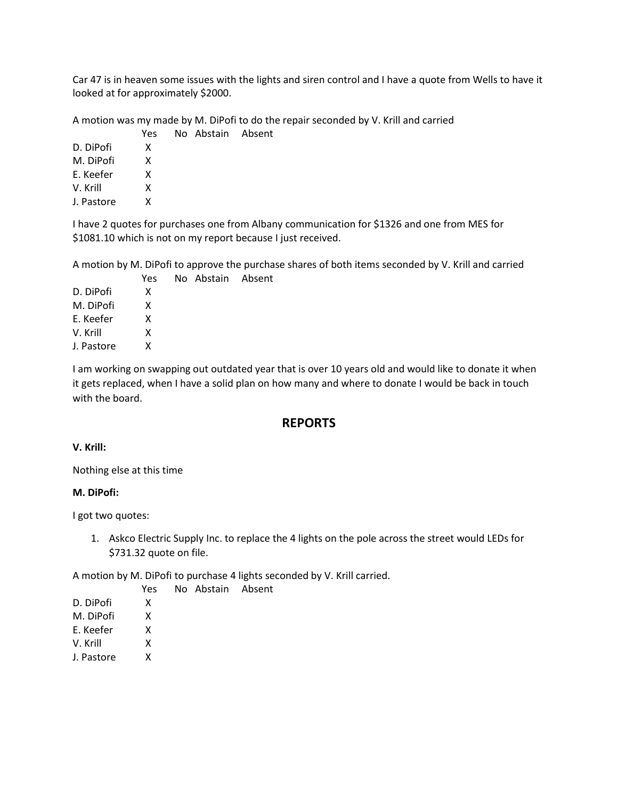Car 47 is in heaven some issues with the lights and siren control and I have a quote from Wells to have it looked at for approximately \$2000.

A motion was my made by M. DiPofi to do the repair seconded by V. Krill and carried

|            | Yes | No Abstain Absent |  |
|------------|-----|-------------------|--|
| D. DiPofi  | x   |                   |  |
| M. DiPofi  | x   |                   |  |
| E. Keefer  | x   |                   |  |
| V. Krill   | x   |                   |  |
| J. Pastore | x   |                   |  |

I have 2 quotes for purchases one from Albany communication for \$1326 and one from MES for \$1081.10 which is not on my report because I just received.

A motion by M. DiPofi to approve the purchase shares of both items seconded by V. Krill and carried Yes No Abstain Absent

| D. DiPofi  | x |
|------------|---|
| M. DiPofi  | x |
| E. Keefer  | x |
| V. Krill   | x |
| J. Pastore | x |

I am working on swapping out outdated year that is over 10 years old and would like to donate it when it gets replaced, when I have a solid plan on how many and where to donate I would be back in touch with the board.

## **REPORTS**

### **V. Krill:**

Nothing else at this time

### **M. DiPofi:**

I got two quotes:

1. Askco Electric Supply Inc. to replace the 4 lights on the pole across the street would LEDs for \$731.32 quote on file.

A motion by M. DiPofi to purchase 4 lights seconded by V. Krill carried.

|  | Yes No Abstain Absent |  |
|--|-----------------------|--|
|  |                       |  |

| D. DiPofi |  |
|-----------|--|
|           |  |

M. DiPofi X

E. Keefer X

V. Krill X

J. Pastore X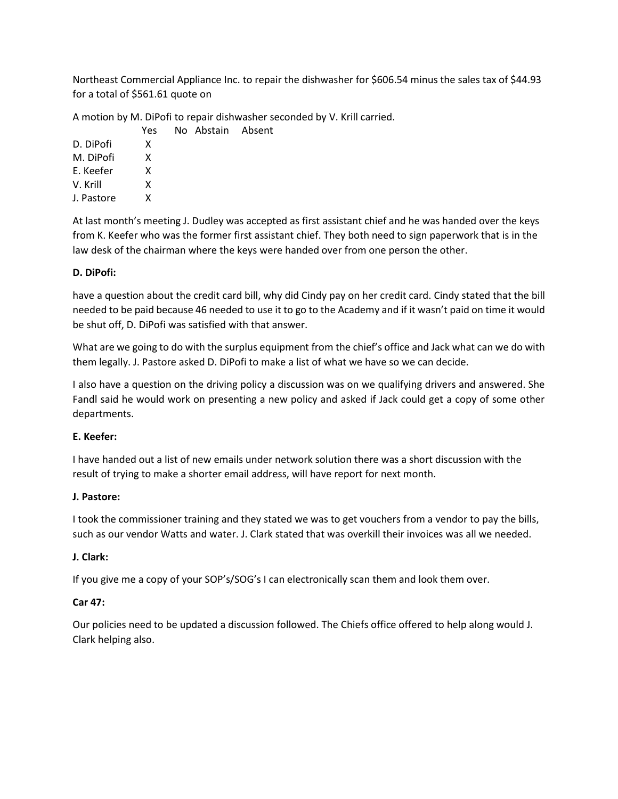Northeast Commercial Appliance Inc. to repair the dishwasher for \$606.54 minus the sales tax of \$44.93 for a total of \$561.61 quote on

A motion by M. DiPofi to repair dishwasher seconded by V. Krill carried.

|            | Yes | No Abstain Absent |  |
|------------|-----|-------------------|--|
| D. DiPofi  | x   |                   |  |
| M. DiPofi  | x   |                   |  |
| E. Keefer  | x   |                   |  |
| V. Krill   | x   |                   |  |
| J. Pastore | x   |                   |  |

At last month's meeting J. Dudley was accepted as first assistant chief and he was handed over the keys from K. Keefer who was the former first assistant chief. They both need to sign paperwork that is in the law desk of the chairman where the keys were handed over from one person the other.

## **D. DiPofi:**

have a question about the credit card bill, why did Cindy pay on her credit card. Cindy stated that the bill needed to be paid because 46 needed to use it to go to the Academy and if it wasn't paid on time it would be shut off, D. DiPofi was satisfied with that answer.

What are we going to do with the surplus equipment from the chief's office and Jack what can we do with them legally. J. Pastore asked D. DiPofi to make a list of what we have so we can decide.

I also have a question on the driving policy a discussion was on we qualifying drivers and answered. She Fandl said he would work on presenting a new policy and asked if Jack could get a copy of some other departments.

## **E. Keefer:**

I have handed out a list of new emails under network solution there was a short discussion with the result of trying to make a shorter email address, will have report for next month.

## **J. Pastore:**

I took the commissioner training and they stated we was to get vouchers from a vendor to pay the bills, such as our vendor Watts and water. J. Clark stated that was overkill their invoices was all we needed.

## **J. Clark:**

If you give me a copy of your SOP's/SOG's I can electronically scan them and look them over.

## **Car 47:**

Our policies need to be updated a discussion followed. The Chiefs office offered to help along would J. Clark helping also.